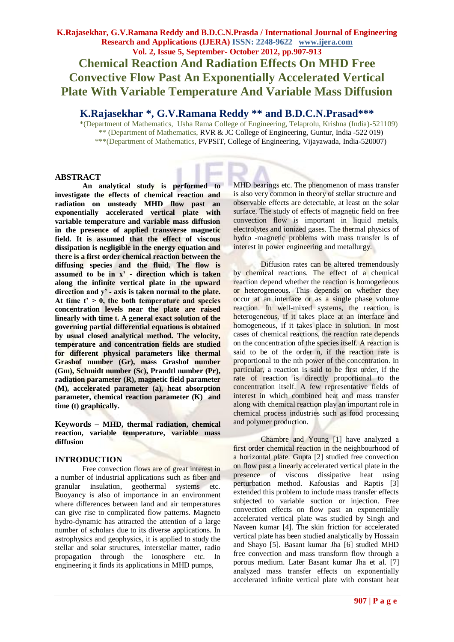# **K.Rajasekhar, G.V.Ramana Reddy and B.D.C.N.Prasda / International Journal of Engineering Research and Applications (IJERA) ISSN: 2248-9622 www.ijera.com Vol. 2, Issue 5, September- October 2012, pp.907-913 Chemical Reaction And Radiation Effects On MHD Free Convective Flow Past An Exponentially Accelerated Vertical Plate With Variable Temperature And Variable Mass Diffusion**

## **K.Rajasekhar \*, G.V.Ramana Reddy \*\* and B.D.C.N.Prasad\*\*\***

 \*(Department of Mathematics, Usha Rama College of Engineering, Telaprolu, Krishna (India)-521109) \*\* (Department of Mathematics, RVR & JC College of Engineering, Guntur, India -522 019) \*\*\*(Department of Mathematics, PVPSIT, College of Engineering, Vijayawada, India-520007)

## **ABSTRACT**

**An analytical study is performed to investigate the effects of chemical reaction and radiation on unsteady MHD flow past an exponentially accelerated vertical plate with variable temperature and variable mass diffusion in the presence of applied transverse magnetic field. It is assumed that the effect of viscous dissipation is negligible in the energy equation and there is a first order chemical reaction between the diffusing species and the fluid. The flow is assumed to be in x'** ‐ **direction which is taken along the infinite vertical plate in the upward direction and y'** ‐ **axis is taken normal to the plate. At time t' > 0, the both temperature and species concentration levels near the plate are raised linearly with time t. A general exact solution of the governing partial differential equations is obtained by usual closed analytical method. The velocity, temperature and concentration fields are studied for different physical parameters like thermal Grashof number (Gr), mass Grashof number (Gm), Schmidt number (Sc), Prandtl number (Pr), radiation parameter (R), magnetic field parameter (M), accelerated parameter (a), heat absorption parameter, chemical reaction parameter (K) and time (t) graphically.**

**Keywords – MHD, thermal radiation, chemical reaction, variable temperature, variable mass diffusion**

## **INTRODUCTION**

Free convection flows are of great interest in a number of industrial applications such as fiber and granular insulation, geothermal systems etc. Buoyancy is also of importance in an environment where differences between land and air temperatures can give rise to complicated flow patterns. Magneto hydro-dynamic has attracted the attention of a large number of scholars due to its diverse applications. In astrophysics and geophysics, it is applied to study the stellar and solar structures, interstellar matter, radio propagation through the ionosphere etc. In engineering it finds its applications in MHD pumps,

MHD bearings etc. The phenomenon of mass transfer is also very common in theory of stellar structure and observable effects are detectable, at least on the solar surface. The study of effects of magnetic field on free convection flow is important in liquid metals, electrolytes and ionized gases. The thermal physics of hydro -magnetic problems with mass transfer is of interest in power engineering and metallurgy.

Diffusion rates can be altered tremendously by chemical reactions. The effect of a chemical reaction depend whether the reaction is homogeneous or heterogeneous. This depends on whether they occur at an interface or as a single phase volume reaction. In well-mixed systems, the reaction is heterogeneous, if it takes place at an interface and homogeneous, if it takes place in solution. In most cases of chemical reactions, the reaction rate depends on the concentration of the species itself. A reaction is said to be of the order n, if the reaction rate is proportional to the nth power of the concentration. In particular, a reaction is said to be first order, if the rate of reaction is directly proportional to the concentration itself. A few representative fields of interest in which combined heat and mass transfer along with chemical reaction play an important role in chemical process industries such as food processing and polymer production.

Chambre and Young [1] have analyzed a first order chemical reaction in the neighbourhood of a horizontal plate. Gupta [2] studied free convection on flow past a linearly accelerated vertical plate in the presence of viscous dissipative heat using perturbation method. Kafousias and Raptis [3] extended this problem to include mass transfer effects subjected to variable suction or injection. Free convection effects on flow past an exponentially accelerated vertical plate was studied by Singh and Naveen kumar [4]. The skin friction for accelerated vertical plate has been studied analytically by Hossain and Shayo [5]. Basant kumar Jha [6] studied MHD free convection and mass transform flow through a porous medium. Later Basant kumar Jha et al. [7] analyzed mass transfer effects on exponentially accelerated infinite vertical plate with constant heat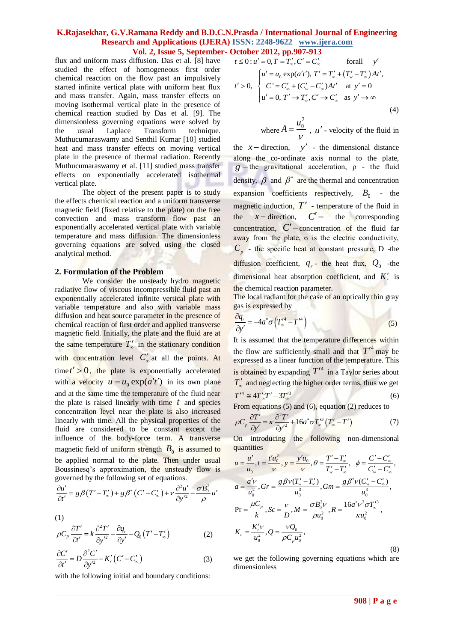# **K.Rajasekhar, G.V.Ramana Reddy and B.D.C.N.Prasda / International Journal of Engineering Research and Applications (IJERA) ISSN: 2248-9622 www.ijera.com**

flux and uniform mass diffusion. Das et al. [8] have studied the effect of homogeneous first order chemical reaction on the flow past an impulsively started infinite vertical plate with uniform heat flux and mass transfer. Again, mass transfer effects on moving isothermal vertical plate in the presence of chemical reaction studied by Das et al. [9]. The dimensionless governing equations were solved by the usual Laplace Transform technique. Muthucumaraswamy and Senthil Kumar [10] studied heat and mass transfer effects on moving vertical plate in the presence of thermal radiation. Recently Muthucumaraswamy et al. [11] studied mass transfer effects on exponentially accelerated isothermal vertical plate.

The object of the present paper is to study the effects chemical reaction and a uniform transverse magnetic field (fixed relative to the plate) on the free convection and mass transform flow past an exponentially accelerated vertical plate with variable temperature and mass diffusion. The dimensionless governing equations are solved using the closed analytical method.

#### **2. Formulation of the Problem**

We consider the unsteady hydro magnetic radiative flow of viscous incompressible fluid past an exponentially accelerated infinite vertical plate with variable temperature and also with variable mass diffusion and heat source parameter in the presence of chemical reaction of first order and applied transverse magnetic field. Initially, the plate and the fluid are at the same temperature  $T'_{\infty}$  in the stationary condition with concentration level  $C'_{\infty}$  at all the points. At  $time t' > 0$ , the plate is exponentially accelerated with a velocity  $u = u_0 \exp(a't')$  in its own plane and at the same time the temperature of the fluid near the plate is raised linearly with time *t* and species concentration level near the plate is also increased linearly with time. All the physical properties of the fluid are considered to be constant except the influence of the body-force term. A transverse magnetic field of uniform strength  $B_0$  is assumed to be applied normal to the plate. Then under usual Boussinesq's approximation, the unsteady flow is

governed by the following set of equations.  
\n
$$
\frac{\partial u'}{\partial t'} = g\beta (T'-T'_\infty) + g\beta^* (C'-C'_\infty) + v\frac{\partial^2 u'}{\partial y'^2} - \frac{\sigma B_0^2}{\rho} u' \qquad \qquad d
$$

(1)

(1)  
\n
$$
\rho C_p \frac{\partial T'}{\partial t'} = k \frac{\partial^2 T'}{\partial y'^2} - \frac{\partial q_r}{\partial y'} - Q_0 (T' - T'_\infty)
$$
\n(2)

$$
\frac{\partial C'}{\partial t'} = D \frac{\partial^2 C'}{\partial y'^2} - K'_r (C' - C'_\infty)
$$
\n(3)

with the following initial and boundary conditions:

**Vol. 2, Issue 5, September- October 2012, pp.907-913**  
iffusion. Das et al. [8] have 
$$
t \le 0: u' = 0, T = T'_\infty, C' = C'_\infty
$$
 for all y'  
homogeneous first order  
of flow past an impulsively  
plate with uniform heat flux  
in, mass transfer effects on  
cal plate in the presence of  
ed by Das et al. [9]. The  
(4)

where 
$$
A = \frac{u_0^2}{V}
$$
,  $u'$  - velocity of the fluid in

the  $x$  – direction,  $y'$  - the dimensional distance along the co-ordinate axis normal to the plate,  $g$  – the gravitational acceleration,  $\rho$  - the fluid density,  $\beta$  and  $\beta^*$  are the thermal and concentration expansion coefficients respectively,  $B_0$  - the magnetic induction,  $T'$  - temperature of the fluid in the  $x$  – direction,  $C'$  – the corresponding concentration,  $C'$  -concentration of the fluid far away from the plate,  $\sigma$  is the electric conductivity,  $C_p$  - the specific heat at constant pressure, D -the diffusion coefficient,  $q_r$ - the heat flux,  $Q_0$  -the dimensional heat absorption coefficient, and  $K_r'$  is the chemical reaction parameter.

The local radiant for the case of an optically thin gray gas is expressed by

$$
\frac{\partial q_r}{\partial y'} = -4a^* \sigma \left( T'^4_\infty - T'^4 \right) \tag{5}
$$

It is assumed that the temperature differences within the flow are sufficiently small and that  $T'^4$  may be expressed as a linear function of the temperature. This is obtained by expanding  $T'^4$  in a Taylor series about  $T'_{\infty}$  and neglecting the higher order terms, thus we get  $T'^4 \cong 4T'^{3}_{\infty}T' - 3T'^{3}_{\infty}$  (6)

From equations (5) and (6), equation (2) reduces to  
\n
$$
\rho C_p \frac{\partial T'}{\partial y'} = \kappa \frac{\partial^2 T'}{\partial y'^2} + 16a^* \sigma T_w'^3 (T_w' - T')
$$
\n(7)

On introducing the following non-dimensional quantities

quantities  
\n
$$
u = \frac{u'}{u_0}, t = \frac{t'u_0^2}{v}, y = \frac{y'u_0}{v}, \theta = \frac{T'-T'_\infty}{T'_w-T'_\infty}, \phi = \frac{C'-C'_\infty}{C'_w-C'_\infty},
$$
\n
$$
a = \frac{a'v}{u_0^2}, Gr = \frac{g\beta v(T'_w-T'_\infty)}{u_0^3}, Gm = \frac{g\beta^* v(C'_w-C'_\infty)}{u_0^3},
$$
\n
$$
Pr = \frac{\mu C_p}{k}, Sc = \frac{v}{D}, M = \frac{\sigma B_0^2 v}{\rho u_0^2}, R = \frac{16a^*v^2 \sigma T'_\infty}{\kappa u_0^2},
$$
\n
$$
K_r = \frac{K'_r v}{u_0^2}, Q = \frac{vQ_0}{\rho C_p u_0^2},
$$
\n(8)

we get the following governing equations which are dimensionless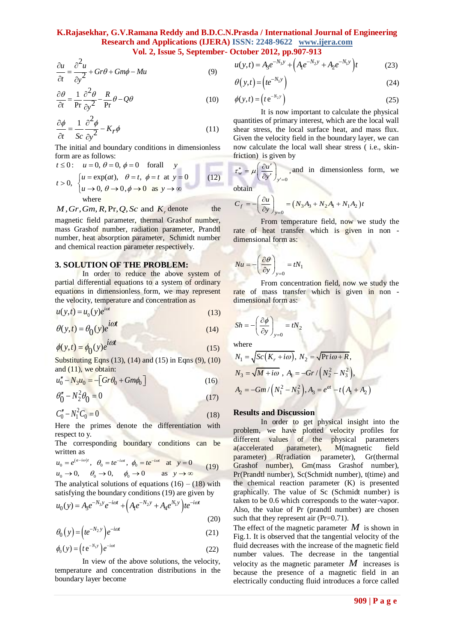$$
\frac{\partial u}{\partial t} = \frac{\partial^2 u}{\partial y^2} + Gr\theta + Gm\phi - Mu \tag{9}
$$

$$
\frac{\partial \theta}{\partial t} = \frac{1}{\text{Pr}} \frac{\partial^2 \theta}{\partial y^2} - \frac{R}{\text{Pr}} \theta - Q\theta \tag{10}
$$

$$
\frac{\partial \phi}{\partial t} = \frac{1}{Sc} \frac{\partial^2 \phi}{\partial y^2} - K_r \phi \tag{11}
$$

The initial and boundary conditions in dimensionless

form are as follows:  
\n
$$
t \le 0
$$
:  $u = 0$ ,  $\theta = 0$ ,  $\phi = 0$  for all  $y$   
\n $t > 0$ ,  $\begin{cases} u = \exp(at), & \theta = t, \phi = t \text{ at } y = 0 \\ u \to 0, & \theta \to 0, \phi \to 0 \text{ as } y \to \infty \end{cases}$  (12)  
\nwhere

where 
$$
M, Gr, Gm, R, Pr, Q, Sc
$$
 and  $K_r$  denote the

magnetic field parameter, thermal Grashof number, mass Grashof number, radiation parameter, Prandtl number, heat absorption parameter, Schmidt number and chemical reaction parameter respectively.

#### **3. SOLUTION OF THE PROBLEM:**

In order to reduce the above system of partial differential equations to a system of ordinary equations in dimensionless form, we may represent the velocity, temperature and concentration as

$$
u(y,t) = u_0(y)e^{i\omega t}
$$
 (13)

$$
\theta(y,t) = \theta_0(y)e^{i\omega t}
$$
\n(14)

$$
\phi(y,t) = \phi_0(y)e^{i\omega t}
$$
\n(15)

Substituting Eqns (13), (14) and (15) in Eqns (9), (10) and  $(11)$ , we obtain:

$$
u''_0 - N_3 u_0 = -[Gr\theta_0 + Gm\phi_0]
$$
 (16)

$$
\theta_0'' - N_2^2 \theta_0 = 0 \tag{17}
$$

$$
C_0'' - N_1^2 C_0 = 0 \tag{18}
$$

 $H$ ere the primes denote the differentiation with respect to y.

The corresponding boundary conditions can be written as

written as  
\n
$$
u_0 = e^{(a-i\omega)t}
$$
,  $\theta_0 = te^{-i\omega t}$ ,  $\phi_0 = te^{-i\omega t}$  at  $y = 0$   
\n $u_0 \rightarrow 0$ ,  $\theta_0 \rightarrow 0$ ,  $\phi_0 \rightarrow 0$  as  $y \rightarrow \infty$  (19)

The analytical solutions of equations  $(16) - (18)$  with

satisfying the boundary conditions (19) are given by  
\n
$$
u_0(y) = A_3 e^{-N_3 y} e^{-i\omega t} + \left( A_1 e^{-N_2 y} + A_4 e^{N_1 y} \right) t e^{-i\omega t}
$$
\n(20)

$$
\theta_0(y) = \left( t e^{-N_2 y} \right) e^{-i\omega t} \tag{21}
$$

$$
\phi_0(y) = \left(t e^{-N_1 y}\right) e^{-i\omega t} \tag{22}
$$

 temperature and concentration distributions in the In view of the above solutions, the velocity, boundary layer become

$$
u(y,t) = A_3 e^{-N_3 y} + (A_1 e^{-N_2 y} + A_2 e^{-N_1 y})t
$$
 (23)

$$
\theta(y,t) = \left( t e^{-N_1 y} \right) \tag{24}
$$

$$
\phi(y,t) = \left(t e^{-N_2 y}\right) \tag{25}
$$

 quantities of primary interest, which are the local wall It is now important to calculate the physical shear stress, the local surface heat, and mass flux. Given the velocity field in the boundary layer, we can now calculate the local wall shear stress ( i.e., skinfriction) is given by

$$
\tau_w^* = \mu \left( \frac{\partial u'}{\partial y'} \right)_{y'=0}
$$
, and in dimensionless form, we

obtain

obtain  

$$
C_f = -\left(\frac{\partial u}{\partial y}\right)_{y=0} = \left(N_3 A_3 + N_2 A_1 + N_1 A_2\right)t
$$

From temperature field, now we study the rate of heat transfer which is given in non dimensional form as:

$$
Nu = -\left(\frac{\partial \theta}{\partial y}\right)_{y=0} = tN_1
$$

From concentration field, now we study the rate of mass transfer which is given in non dimensional form as:

$$
Sh = -\left(\frac{\partial \phi}{\partial y}\right)_{y=0} = tN
$$

where

where  
\n
$$
N_1 = \sqrt{Sc(K_r + i\omega)}, N_2 = \sqrt{\text{Pr} i\omega + R},
$$
\n
$$
N_3 = \sqrt{M + i\omega}, A_1 = -Gr/(N_2^2 - N_3^2),
$$
\n
$$
A_2 = -Gm/(N_1^2 - N_3^2), A_3 = e^{at} - t(A_1 + A_2)
$$

2

#### **Results and Discussion**

 $\frac{p}{2}$  **c** (*P*)  $\frac{p}{2}$  **c**)  $\frac{p}{2}$  **c**)  $\frac{p}{2}$  **c**)  $\frac{p}{2}$  **c**)  $\frac{p}{2}$  **c**)  $\frac{p}{2}$  **c**)  $\frac{p}{2}$  **c** (*P*)  $\frac{p}{2}$  **c**)  $\frac{p}{2}$  **c** (*P*)  $\frac{p}{2}$  **c** (*P*)  $\frac{p}{2}$  **c** (*P*)  $\frac{p}{2}$  **c** ( In order to get physical insight into the problem, we have plotted velocity profiles for different values of the physical parameters a(accelerated parameter), M(magnetic field parameter) R(radiation parameter), Gr(thermal Grashof number), Gm(mass Grashof number), Pr(Prandtl number), Sc(Schmidt number), t(time) and the chemical reaction parameter (K) is presented graphically. The value of Sc (Schmidt number) is taken to be 0.6 which corresponds to the water‐vapor. Also, the value of Pr (prandtl number) are chosen such that they represent air (Pr=0.71).

The effect of the magnetic parameter  $M$  is shown in Fig.1. It is observed that the tangential velocity of the fluid decreases with the increase of the magnetic field number values. The decrease in the tangential velocity as the magnetic parameter  $M$  increases is because the presence of a magnetic field in an electrically conducting fluid introduces a force called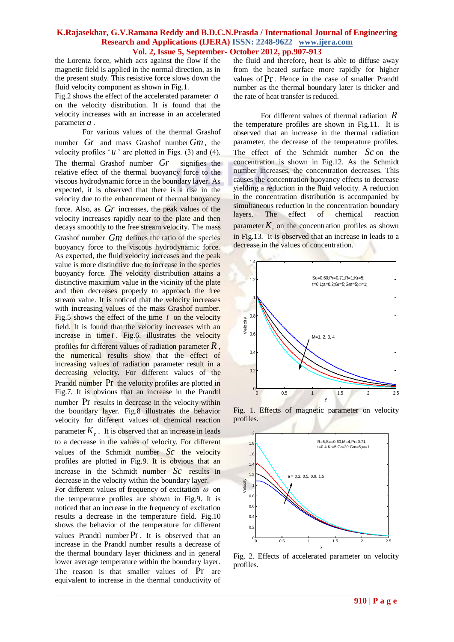the Lorentz force, which acts against the flow if the magnetic field is applied in the normal direction, as in the present study. This resistive force slows down the fluid velocity component as shown in Fig.1.

Fig.2 shows the effect of the accelerated parameter *a* on the velocity distribution. It is found that the velocity increases with an increase in an accelerated parameter *a* .

For various values of the thermal Grashof number *Gr* and mass Grashof number *Gm* , the velocity profiles  $u'$  are plotted in Figs. (3) and (4). The thermal Grashof number *Gr* signifies the relative effect of the thermal buoyancy force to the viscous hydrodynamic force in the boundary layer. As expected, it is observed that there is a rise in the velocity due to the enhancement of thermal buoyancy force. Also, as *Gr* increases, the peak values of the velocity increases rapidly near to the plate and then decays smoothly to the free stream velocity. The mass Grashof number Gm defines the ratio of the species buoyancy force to the viscous hydrodynamic force. As expected, the fluid velocity increases and the peak value is more distinctive due to increase in the species buoyancy force. The velocity distribution attains a distinctive maximum value in the vicinity of the plate and then decreases properly to approach the free stream value. It is noticed that the velocity increases with increasing values of the mass Grashof number. Fig.5 shows the effect of the time  $t$  on the velocity field. It is found that the velocity increases with an increase in time *t* . Fig.6. illustrates the velocity profiles for different values of radiation parameter *R* , the numerical results show that the effect of increasing values of radiation parameter result in a decreasing velocity. For different values of the Prandtl number Pr the velocity profiles are plotted in Fig.7. It is obvious that an increase in the Prandtl number Pr results in decrease in the velocity within the boundary layer. Fig.8 illustrates the behavior velocity for different values of chemical reaction parameter  $K_r$ . It is observed that an increase in leads to a decrease in the values of velocity. For different values of the Schmidt number  $Sc$  the velocity profiles are plotted in Fig.9. It is obvious that an increase in the Schmidt number *Sc* results in decrease in the velocity within the boundary layer. For different values of frequency of excitation  $\omega$  on the temperature profiles are shown in Fig.9. It is noticed that an increase in the frequency of excitation results a decrease in the temperature field. Fig.10 shows the behavior of the temperature for different values Prandtl number Pr . It is observed that an increase in the Prandtl number results a decrease of the thermal boundary layer thickness and in general lower average temperature within the boundary layer. The reason is that smaller values of Pr are equivalent to increase in the thermal conductivity of

the fluid and therefore, heat is able to diffuse away from the heated surface more rapidly for higher values of Pr . Hence in the case of smaller Prandtl number as the thermal boundary later is thicker and the rate of heat transfer is reduced.

For different values of thermal radiation *R* the temperature profiles are shown in Fig.11. It is observed that an increase in the thermal radiation parameter, the decrease of the temperature profiles. The effect of the Schmidt number *Sc* on the concentration is shown in Fig.12. As the Schmidt number increases, the concentration decreases. This causes the concentration buoyancy effects to decrease yielding a reduction in the fluid velocity. A reduction in the concentration distribution is accompanied by simultaneous reduction in the concentration boundary layers. The effect of chemical reaction parameter  $K_r$ , on the concentration profiles as shown in Fig.13. It is observed that an increase in leads to a decrease in the values of concentration.



Fig. 1. Effects of magnetic parameter on velocity profiles.



Fig. 2. Effects of accelerated parameter on velocity profiles.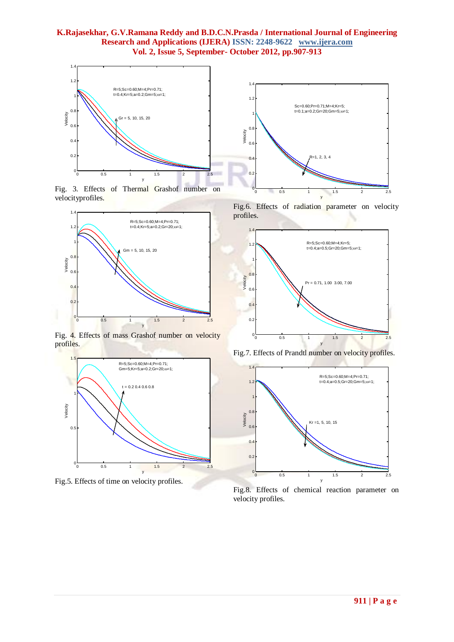

Fig. 3. Effects of Thermal Grashof number on velocityprofiles.



Fig. 4. Effects of mass Grashof number on velocity profiles.



Fig.5. Effects of time on velocity profiles.

Fig.6. Effects of radiation parameter on velocity profiles.

0 0.5 1 1.5 2 2.5



Fig.7. Effects of Prandtl number on velocity profiles.



Fig.8. Effects of chemical reaction parameter on velocity profiles.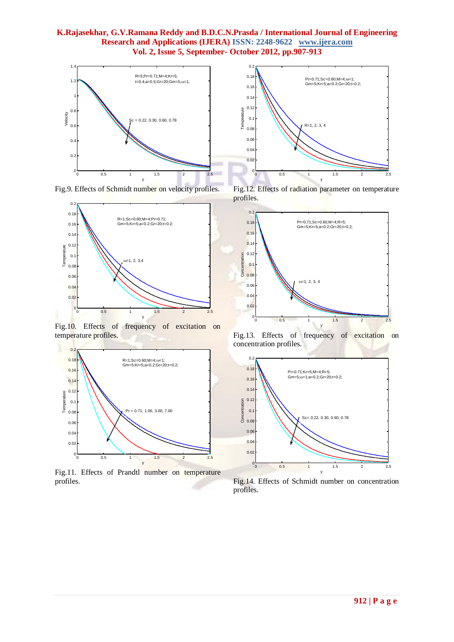

Fig.9. Effects of Schmidt number on velocity profiles.



Fig.10. Effects of frequency of excitation on temperature profiles.



Fig.11. Effects of Prandtl number on temperature profiles.



Fig.12. Effects of radiation parameter on temperature profiles.



Fig.13. Effects of frequency of excitation on concentration profiles.



Fig.14. Effects of Schmidt number on concentration profiles.